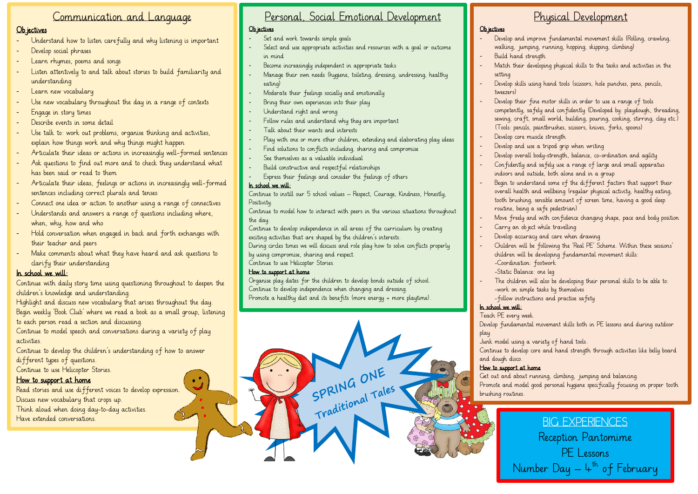## Communication and Language

### Ob jectives

- Understand how to listen carefully and why listening is important
- Develop social phrases
- Learn rhymes, poems and songs
- Listen attentively to and talk about stories to build familiarity and understanding
- Learn new vocabulary
- Use new vocabulary throughout the day in a range of contexts
- Engage in story times
- Describe events in some detail
- Use talk to: work out problems, organise thinking and activities, explain how things work and why things might happen
- Articulate their ideas or actions in increasingly well-formed sentences
- Ask questions to find out more and to check they understand what has been said or read to them
- Articulate their ideas, feelings or actions in increasingly well-formed sentences including correct plurals and tenses
- Connect one idea or action to another using a range of connectives
- Understands and answers a range of questions including where, when, why, how and who
- Hold conversation when engaged in back and forth exchanges with their teacher and peers
- Make comments about what they have heard and ask questions to clarify their understanding

## In school we will:

Continue with daily story time using questioning throughout to deepen the children's knowledge and understanding.

Highlight and discuss new vocabulary that arises throughout the day. Begin weekly 'Book Club' where we read a book as a small group, listening to each person read a section and discussing.

Continue to model speech and conversations during a variety of play activities.

Continue to develop the children's understanding of how to answer different types of questions.

Continue to use Helicopter Stories.

## How to support at home

Read stories and use different voices to develop expression. Discuss new vocabulary that crops up. Think aloud when doing day-to-day activities. Have extended conversations.

# Personal, Social Emotional Development

## Ob jectives

- Set and work towards simple goals
- Select and use appropriate activities and resources with a goal or outcome in mind
- Become increasingly independent in appropriate tasks
- Manage their own needs (hygiene, toileting, dressing, undressing, healthy eating)
- Moderate their feelings socially and emotionally
- Bring their own experiences into their play
- Understand right and wrong
- Follow rules and understand why they are important
- Talk about their wants and interests
- Play with one or more other children, extending and elaborating play ideas
- Find solutions to conflicts including, sharing and compromise
- See themselves as a valuable individual
- Build constructive and respect ful relationships
- Express their feelings and consider the feelings of others

## In school we will:

Continue to instill our 5 school values – Respect, Courage, Kindness, Honestly, **Positivity** 

Continue to model how to interact with peers in the various situations throughout the day.

Continue to develop independence in all areas of the curriculum by creating exciting activities that are shaped by the children's interests.

During circles times we will discuss and role play how to solve conflicts properly by using compromise, sharing and respect.

Continue to use Helicopter Stories.

## How to support at home

Organise play dates for the children to develop bonds outside of school. Continue to develop independence when changing and dressing. Promote a healthy diet and its benefits (more energy = more playtime).

SPRING ONE Traditional Tales

# Physical Development

### Ob iectives

- Develop and improve fundamental movement skills (Rolling, crawling, walking, jumping, running, hopping, skipping, climbing)
- Build hand strength
- Match their developing physical skills to the tasks and activities in the setting
- Develop skills using hand tools (scissors, hole punches, pens, pencils, tweezers)
- Develop their fine motor skills in order to use a range of tools competently, safely and confidently (Developed by: playdough, threading, sewing, craft, small world, building, pouring, cooking, stirring, clay etc.) (Tools: pencils, paintbrushes, scissors, knives, forks, spoons)
- Develop core muscle strength
- Develop and use a tripod grip when writing
- Develop overall bodu-strength, balance, co-ordination and agility
- Confidently and safely use a range of large and small apparatus indoors and outside, both alone and in a group
- Begin to understand some of the different factors that support their overall health and wellbeing (regular physical activity, healthy eating, tooth brushing, sensible amount of screen time, having a good sleep routine, being a safe pedestrian)
- Move freely and with confidence changing shape, pace and body position
- Carry an object while travelling
- Develop accuracy and care when drawing
- Children will be following the 'Real PE' Scheme. Within these sessions' children will be developing fundamental movement skills: -Coordination: footwork
	- -Static Balance: one leg
- The children will also be developing their personal skills to be able to: -work on simple tasks by themselves -follow instructions and practise safety

## In school we will:

Teach PE every week.

Develop fundamental movement skills both in PE lessons and during outdoor play.

Junk model using a variety of hand tools.

Continue to develop core and hand strength through activities like belly board and dough disco.

## How to support at home

Get out and about running, dimbing, jumping and balancing. Promote and model good personal hygiene specifically focusing on proper tooth brushing routines.

> BIG EXPERIENCES Reception Pantomime PE Lessons Number Day — 4<sup>th</sup> of February